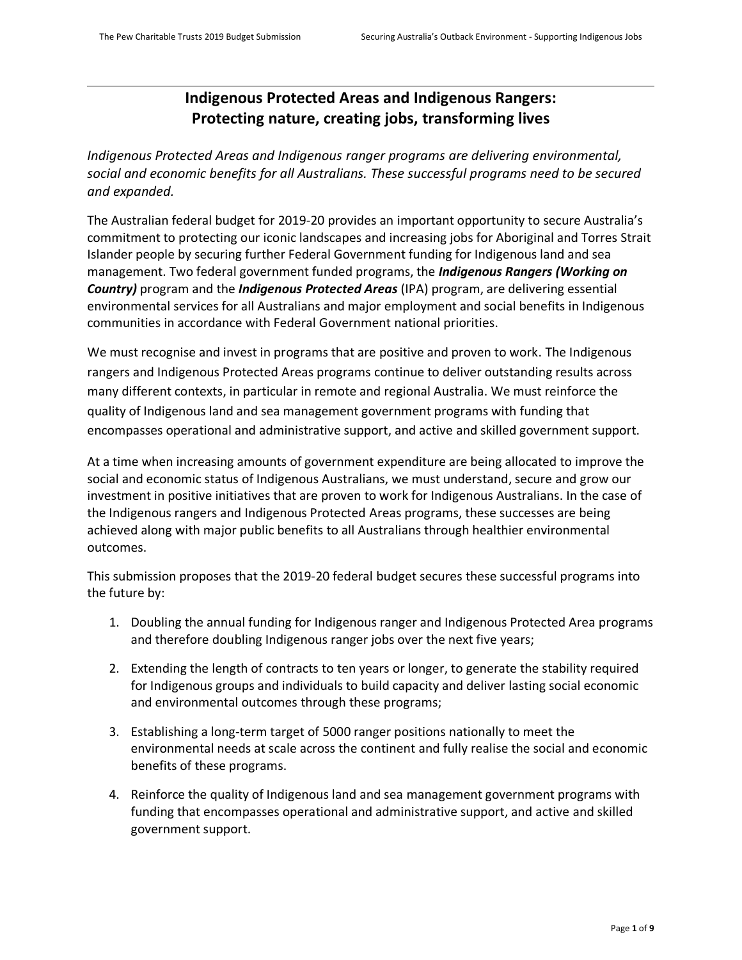# **Indigenous Protected Areas and Indigenous Rangers: Protecting nature, creating jobs, transforming lives**

*Indigenous Protected Areas and Indigenous ranger programs are delivering environmental, social and economic benefits for all Australians. These successful programs need to be secured and expanded.*

The Australian federal budget for 2019-20 provides an important opportunity to secure Australia's commitment to protecting our iconic landscapes and increasing jobs for Aboriginal and Torres Strait Islander people by securing further Federal Government funding for Indigenous land and sea management. Two federal government funded programs, the *Indigenous Rangers (Working on Country)* program and the *Indigenous Protected Areas* (IPA) program, are delivering essential environmental services for all Australians and major employment and social benefits in Indigenous communities in accordance with Federal Government national priorities.

We must recognise and invest in programs that are positive and proven to work. The Indigenous rangers and Indigenous Protected Areas programs continue to deliver outstanding results across many different contexts, in particular in remote and regional Australia. We must reinforce the quality of Indigenous land and sea management government programs with funding that encompasses operational and administrative support, and active and skilled government support.

At a time when increasing amounts of government expenditure are being allocated to improve the social and economic status of Indigenous Australians, we must understand, secure and grow our investment in positive initiatives that are proven to work for Indigenous Australians. In the case of the Indigenous rangers and Indigenous Protected Areas programs, these successes are being achieved along with major public benefits to all Australians through healthier environmental outcomes.

This submission proposes that the 2019-20 federal budget secures these successful programs into the future by:

- 1. Doubling the annual funding for Indigenous ranger and Indigenous Protected Area programs and therefore doubling Indigenous ranger jobs over the next five years;
- 2. Extending the length of contracts to ten years or longer, to generate the stability required for Indigenous groups and individuals to build capacity and deliver lasting social economic and environmental outcomes through these programs;
- 3. Establishing a long-term target of 5000 ranger positions nationally to meet the environmental needs at scale across the continent and fully realise the social and economic benefits of these programs.
- 4. Reinforce the quality of Indigenous land and sea management government programs with funding that encompasses operational and administrative support, and active and skilled government support.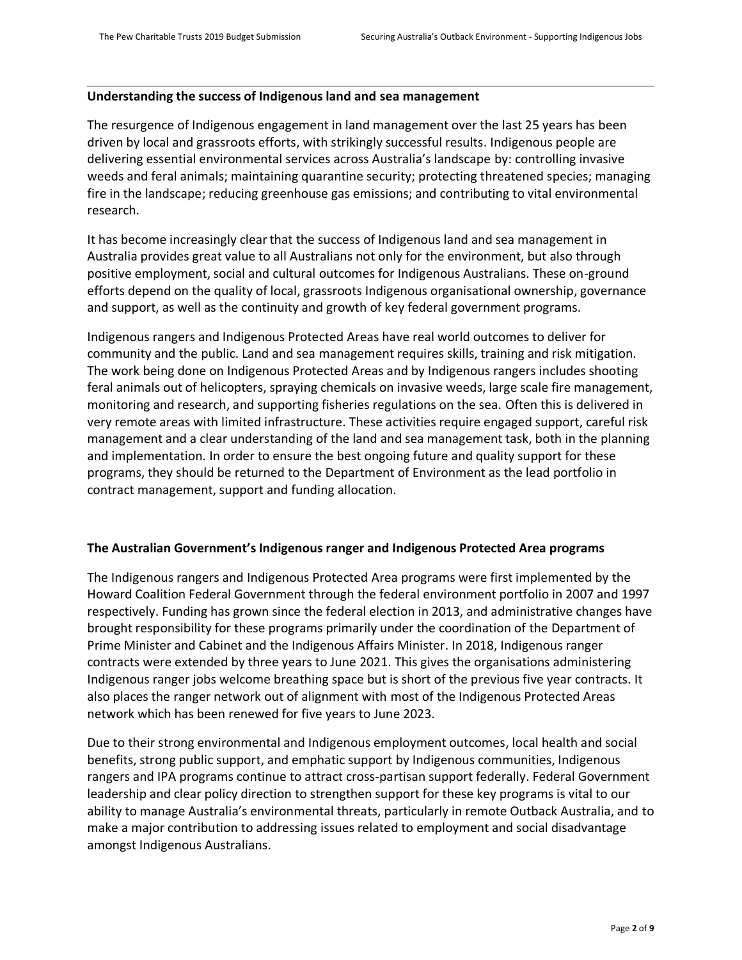## **Understanding the success of Indigenous land and sea management**

The resurgence of Indigenous engagement in land management over the last 25 years has been driven by local and grassroots efforts, with strikingly successful results. Indigenous people are delivering essential environmental services across Australia's landscape by: controlling invasive weeds and feral animals; maintaining quarantine security; protecting threatened species; managing fire in the landscape; reducing greenhouse gas emissions; and contributing to vital environmental research.

It has become increasingly clear that the success of Indigenous land and sea management in Australia provides great value to all Australians not only for the environment, but also through positive employment, social and cultural outcomes for Indigenous Australians. These on-ground efforts depend on the quality of local, grassroots Indigenous organisational ownership, governance and support, as well as the continuity and growth of key federal government programs.

Indigenous rangers and Indigenous Protected Areas have real world outcomes to deliver for community and the public. Land and sea management requires skills, training and risk mitigation. The work being done on Indigenous Protected Areas and by Indigenous rangers includes shooting feral animals out of helicopters, spraying chemicals on invasive weeds, large scale fire management, monitoring and research, and supporting fisheries regulations on the sea. Often this is delivered in very remote areas with limited infrastructure. These activities require engaged support, careful risk management and a clear understanding of the land and sea management task, both in the planning and implementation. In order to ensure the best ongoing future and quality support for these programs, they should be returned to the Department of Environment as the lead portfolio in contract management, support and funding allocation.

### **The Australian Government's Indigenous ranger and Indigenous Protected Area programs**

The Indigenous rangers and Indigenous Protected Area programs were first implemented by the Howard Coalition Federal Government through the federal environment portfolio in 2007 and 1997 respectively. Funding has grown since the federal election in 2013, and administrative changes have brought responsibility for these programs primarily under the coordination of the Department of Prime Minister and Cabinet and the Indigenous Affairs Minister. In 2018, Indigenous ranger contracts were extended by three years to June 2021. This gives the organisations administering Indigenous ranger jobs welcome breathing space but is short of the previous five year contracts. It also places the ranger network out of alignment with most of the Indigenous Protected Areas network which has been renewed for five years to June 2023.

Due to their strong environmental and Indigenous employment outcomes, local health and social benefits, strong public support, and emphatic support by Indigenous communities, Indigenous rangers and IPA programs continue to attract cross-partisan support federally. Federal Government leadership and clear policy direction to strengthen support for these key programs is vital to our ability to manage Australia's environmental threats, particularly in remote Outback Australia, and to make a major contribution to addressing issues related to employment and social disadvantage amongst Indigenous Australians.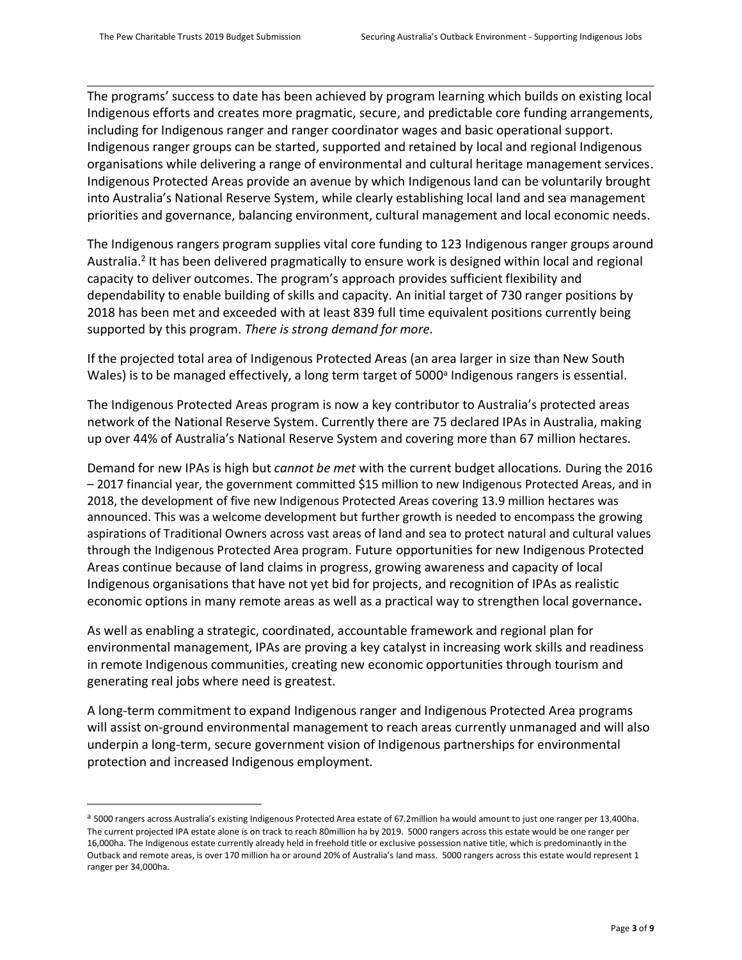$\overline{\phantom{0}}$ 

The programs' success to date has been achieved by program learning which builds on existing local Indigenous efforts and creates more pragmatic, secure, and predictable core funding arrangements, including for Indigenous ranger and ranger coordinator wages and basic operational support. Indigenous ranger groups can be started, supported and retained by local and regional Indigenous organisations while delivering a range of environmental and cultural heritage management services. Indigenous Protected Areas provide an avenue by which Indigenous land can be voluntarily brought into Australia's National Reserve System, while clearly establishing local land and sea management priorities and governance, balancing environment, cultural management and local economic needs.

The Indigenous rangers program supplies vital core funding to 123 Indigenous ranger groups around Australia.<sup>2</sup> It has been delivered pragmatically to ensure work is designed within local and regional capacity to deliver outcomes. The program's approach provides sufficient flexibility and dependability to enable building of skills and capacity. An initial target of 730 ranger positions by 2018 has been met and exceeded with at least 839 full time equivalent positions currently being supported by this program. *There is strong demand for more.*

If the projected total area of Indigenous Protected Areas (an area larger in size than New South Wales) is to be managed effectively, a long term target of 5000<sup>a</sup> Indigenous rangers is essential.

The Indigenous Protected Areas program is now a key contributor to Australia's protected areas network of the National Reserve System. Currently there are 75 declared IPAs in Australia, making up over 44% of Australia's National Reserve System and covering more than 67 million hectares.

Demand for new IPAs is high but *cannot be met* with the current budget allocations*.* During the 2016 – 2017 financial year, the government committed \$15 million to new Indigenous Protected Areas, and in 2018, the development of five new Indigenous Protected Areas covering 13.9 million hectares was announced. This was a welcome development but further growth is needed to encompass the growing aspirations of Traditional Owners across vast areas of land and sea to protect natural and cultural values through the Indigenous Protected Area program. Future opportunities for new Indigenous Protected Areas continue because of land claims in progress, growing awareness and capacity of local Indigenous organisations that have not yet bid for projects, and recognition of IPAs as realistic economic options in many remote areas as well as a practical way to strengthen local governance**.** 

As well as enabling a strategic, coordinated, accountable framework and regional plan for environmental management, IPAs are proving a key catalyst in increasing work skills and readiness in remote Indigenous communities, creating new economic opportunities through tourism and generating real jobs where need is greatest.

A long-term commitment to expand Indigenous ranger and Indigenous Protected Area programs will assist on-ground environmental management to reach areas currently unmanaged and will also underpin a long-term, secure government vision of Indigenous partnerships for environmental protection and increased Indigenous employment.

a 5000 rangers across Australia's existing Indigenous Protected Area estate of 67.2million ha would amount to just one ranger per 13,400ha. The current projected IPA estate alone is on track to reach 80million ha by 2019. 5000 rangers across this estate would be one ranger per 16,000ha. The Indigenous estate currently already held in freehold title or exclusive possession native title, which is predominantly in the Outback and remote areas, is over 170 million ha or around 20% of Australia's land mass. 5000 rangers across this estate would represent 1 ranger per 34,000ha.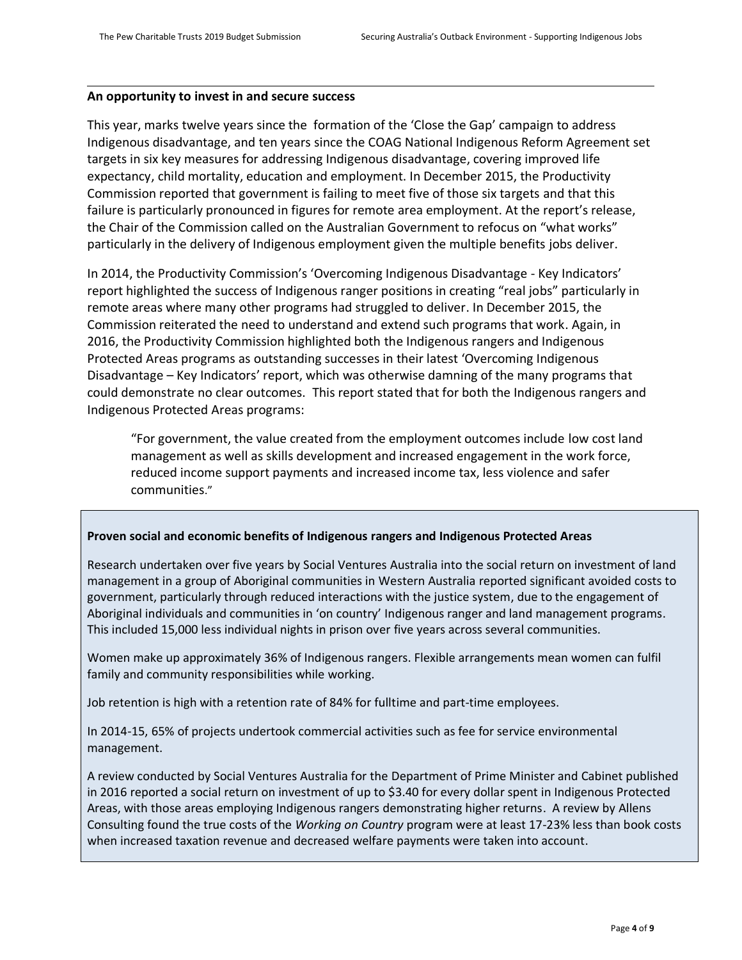## **An opportunity to invest in and secure success**

This year, marks twelve years since the formation of the 'Close the Gap' campaign to address Indigenous disadvantage, and ten years since the COAG National Indigenous Reform Agreement set targets in six key measures for addressing Indigenous disadvantage, covering improved life expectancy, child mortality, education and employment. In December 2015, the Productivity Commission reported that government is failing to meet five of those six targets and that this failure is particularly pronounced in figures for remote area employment. At the report's release, the Chair of the Commission called on the Australian Government to refocus on "what works" particularly in the delivery of Indigenous employment given the multiple benefits jobs deliver.

In 2014, the Productivity Commission's 'Overcoming Indigenous Disadvantage - Key Indicators' report highlighted the success of Indigenous ranger positions in creating "real jobs" particularly in remote areas where many other programs had struggled to deliver. In December 2015, the Commission reiterated the need to understand and extend such programs that work. Again, in 2016, the Productivity Commission highlighted both the Indigenous rangers and Indigenous Protected Areas programs as outstanding successes in their latest 'Overcoming Indigenous Disadvantage – Key Indicators' report, which was otherwise damning of the many programs that could demonstrate no clear outcomes. This report stated that for both the Indigenous rangers and Indigenous Protected Areas programs:

"For government, the value created from the employment outcomes include low cost land management as well as skills development and increased engagement in the work force, reduced income support payments and increased income tax, less violence and safer communities."

### **Proven social and economic benefits of Indigenous rangers and Indigenous Protected Areas**

Research undertaken over five years by Social Ventures Australia into the social return on investment of land management in a group of Aboriginal communities in Western Australia reported significant avoided costs to government, particularly through reduced interactions with the justice system, due to the engagement of Aboriginal individuals and communities in 'on country' Indigenous ranger and land management programs. This included 15,000 less individual nights in prison over five years across several communities.

Women make up approximately 36% of Indigenous rangers. Flexible arrangements mean women can fulfil family and community responsibilities while working.

Job retention is high with a retention rate of 84% for fulltime and part-time employees.

In 2014-15, 65% of projects undertook commercial activities such as fee for service environmental management.

A review conducted by Social Ventures Australia for the Department of Prime Minister and Cabinet published in 2016 reported a social return on investment of up to \$3.40 for every dollar spent in Indigenous Protected Areas, with those areas employing Indigenous rangers demonstrating higher returns. A review by Allens Consulting found the true costs of the *Working on Country* program were at least 17-23% less than book costs when increased taxation revenue and decreased welfare payments were taken into account.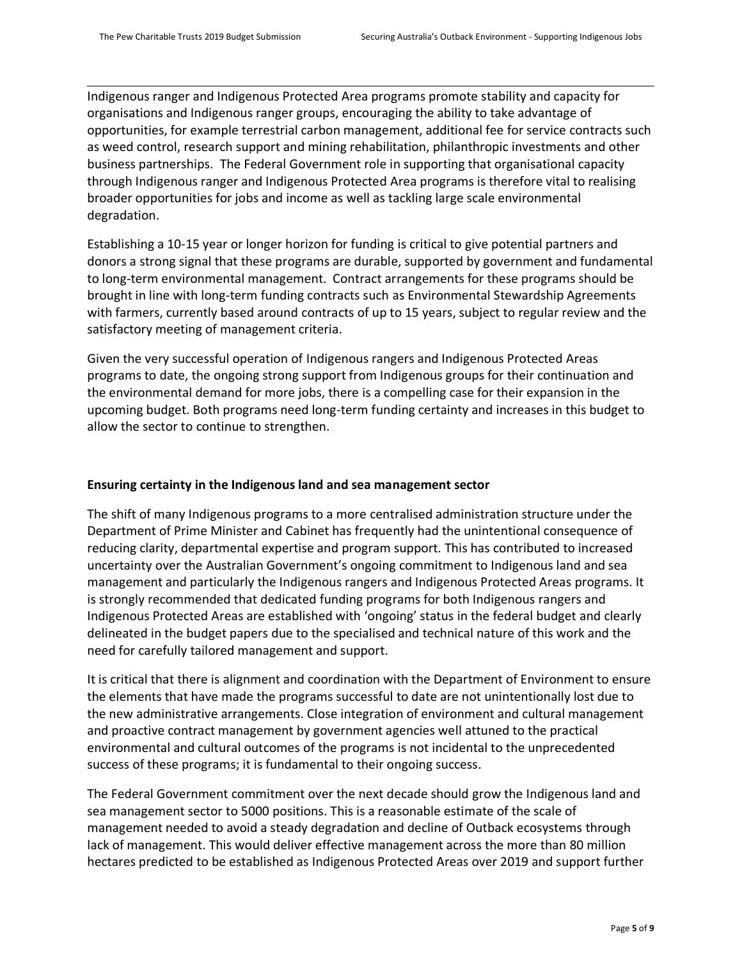Indigenous ranger and Indigenous Protected Area programs promote stability and capacity for organisations and Indigenous ranger groups, encouraging the ability to take advantage of opportunities, for example terrestrial carbon management, additional fee for service contracts such as weed control, research support and mining rehabilitation, philanthropic investments and other business partnerships. The Federal Government role in supporting that organisational capacity through Indigenous ranger and Indigenous Protected Area programs is therefore vital to realising broader opportunities for jobs and income as well as tackling large scale environmental degradation.

Establishing a 10-15 year or longer horizon for funding is critical to give potential partners and donors a strong signal that these programs are durable, supported by government and fundamental to long-term environmental management. Contract arrangements for these programs should be brought in line with long-term funding contracts such as Environmental Stewardship Agreements with farmers, currently based around contracts of up to 15 years, subject to regular review and the satisfactory meeting of management criteria.

Given the very successful operation of Indigenous rangers and Indigenous Protected Areas programs to date, the ongoing strong support from Indigenous groups for their continuation and the environmental demand for more jobs, there is a compelling case for their expansion in the upcoming budget. Both programs need long-term funding certainty and increases in this budget to allow the sector to continue to strengthen.

## **Ensuring certainty in the Indigenous land and sea management sector**

The shift of many Indigenous programs to a more centralised administration structure under the Department of Prime Minister and Cabinet has frequently had the unintentional consequence of reducing clarity, departmental expertise and program support. This has contributed to increased uncertainty over the Australian Government's ongoing commitment to Indigenous land and sea management and particularly the Indigenous rangers and Indigenous Protected Areas programs. It is strongly recommended that dedicated funding programs for both Indigenous rangers and Indigenous Protected Areas are established with 'ongoing' status in the federal budget and clearly delineated in the budget papers due to the specialised and technical nature of this work and the need for carefully tailored management and support.

It is critical that there is alignment and coordination with the Department of Environment to ensure the elements that have made the programs successful to date are not unintentionally lost due to the new administrative arrangements. Close integration of environment and cultural management and proactive contract management by government agencies well attuned to the practical environmental and cultural outcomes of the programs is not incidental to the unprecedented success of these programs; it is fundamental to their ongoing success.

The Federal Government commitment over the next decade should grow the Indigenous land and sea management sector to 5000 positions. This is a reasonable estimate of the scale of management needed to avoid a steady degradation and decline of Outback ecosystems through lack of management. This would deliver effective management across the more than 80 million hectares predicted to be established as Indigenous Protected Areas over 2019 and support further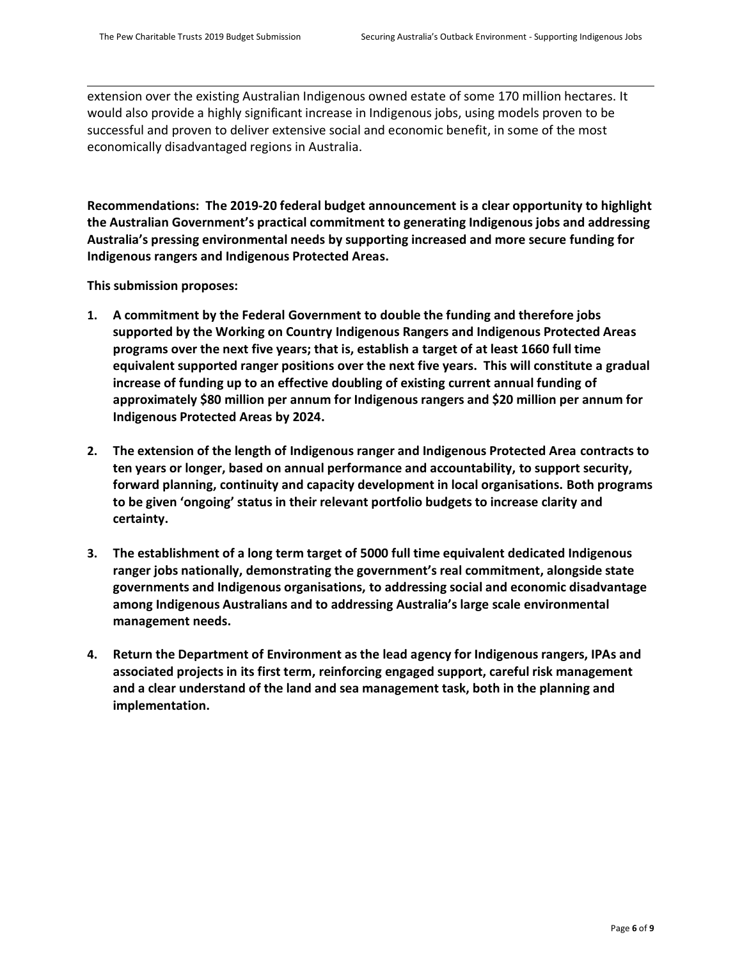extension over the existing Australian Indigenous owned estate of some 170 million hectares. It would also provide a highly significant increase in Indigenous jobs, using models proven to be successful and proven to deliver extensive social and economic benefit, in some of the most economically disadvantaged regions in Australia.

**Recommendations: The 2019-20 federal budget announcement is a clear opportunity to highlight the Australian Government's practical commitment to generating Indigenous jobs and addressing Australia's pressing environmental needs by supporting increased and more secure funding for Indigenous rangers and Indigenous Protected Areas.** 

**This submission proposes:**

- **1. A commitment by the Federal Government to double the funding and therefore jobs supported by the Working on Country Indigenous Rangers and Indigenous Protected Areas programs over the next five years; that is, establish a target of at least 1660 full time equivalent supported ranger positions over the next five years. This will constitute a gradual increase of funding up to an effective doubling of existing current annual funding of approximately \$80 million per annum for Indigenous rangers and \$20 million per annum for Indigenous Protected Areas by 2024.**
- **2. The extension of the length of Indigenous ranger and Indigenous Protected Area contracts to ten years or longer, based on annual performance and accountability, to support security, forward planning, continuity and capacity development in local organisations. Both programs to be given 'ongoing' status in their relevant portfolio budgets to increase clarity and certainty.**
- **3. The establishment of a long term target of 5000 full time equivalent dedicated Indigenous ranger jobs nationally, demonstrating the government's real commitment, alongside state governments and Indigenous organisations, to addressing social and economic disadvantage among Indigenous Australians and to addressing Australia's large scale environmental management needs.**
- **4. Return the Department of Environment as the lead agency for Indigenous rangers, IPAs and associated projects in its first term, reinforcing engaged support, careful risk management and a clear understand of the land and sea management task, both in the planning and implementation.**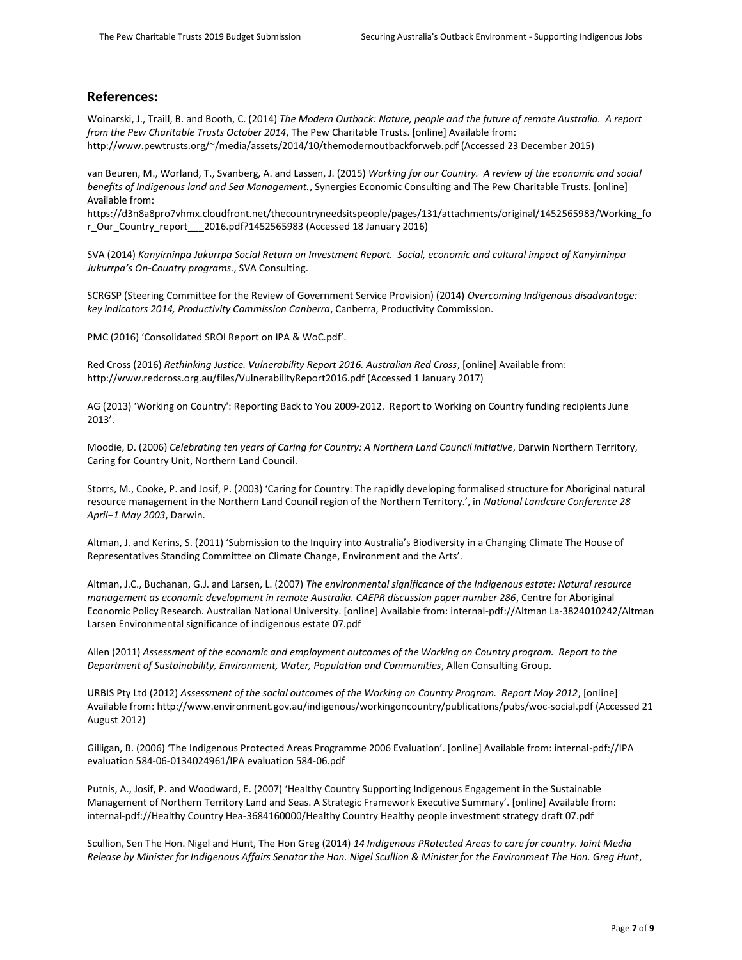### **References:**

Woinarski, J., Traill, B. and Booth, C. (2014) *The Modern Outback: Nature, people and the future of remote Australia. A report from the Pew Charitable Trusts October 2014*, The Pew Charitable Trusts. [online] Available from: http://www.pewtrusts.org/~/media/assets/2014/10/themodernoutbackforweb.pdf (Accessed 23 December 2015)

van Beuren, M., Worland, T., Svanberg, A. and Lassen, J. (2015) *Working for our Country. A review of the economic and social benefits of Indigenous land and Sea Management.*, Synergies Economic Consulting and The Pew Charitable Trusts. [online] Available from:

https://d3n8a8pro7vhmx.cloudfront.net/thecountryneedsitspeople/pages/131/attachments/original/1452565983/Working\_fo r Our Country report 2016.pdf?1452565983 (Accessed 18 January 2016)

SVA (2014) *Kanyirninpa Jukurrpa Social Return on Investment Report. Social, economic and cultural impact of Kanyirninpa Jukurrpa's On-Country programs.*, SVA Consulting.

SCRGSP (Steering Committee for the Review of Government Service Provision) (2014) *Overcoming Indigenous disadvantage: key indicators 2014, Productivity Commission Canberra*, Canberra, Productivity Commission.

PMC (2016) 'Consolidated SROI Report on IPA & WoC.pdf'.

Red Cross (2016) *Rethinking Justice. Vulnerability Report 2016. Australian Red Cross*, [online] Available from: http://www.redcross.org.au/files/VulnerabilityReport2016.pdf (Accessed 1 January 2017)

AG (2013) 'Working on Country': Reporting Back to You 2009-2012. Report to Working on Country funding recipients June 2013'.

Moodie, D. (2006) *Celebrating ten years of Caring for Country: A Northern Land Council initiative*, Darwin Northern Territory, Caring for Country Unit, Northern Land Council.

Storrs, M., Cooke, P. and Josif, P. (2003) 'Caring for Country: The rapidly developing formalised structure for Aboriginal natural resource management in the Northern Land Council region of the Northern Territory.', in *National Landcare Conference 28 April−1 May 2003*, Darwin.

Altman, J. and Kerins, S. (2011) 'Submission to the Inquiry into Australia's Biodiversity in a Changing Climate The House of Representatives Standing Committee on Climate Change, Environment and the Arts'.

Altman, J.C., Buchanan, G.J. and Larsen, L. (2007) *The environmental significance of the Indigenous estate: Natural resource management as economic development in remote Australia. CAEPR discussion paper number 286*, Centre for Aboriginal Economic Policy Research. Australian National University. [online] Available from: internal-pdf://Altman La-3824010242/Altman Larsen Environmental significance of indigenous estate 07.pdf

Allen (2011) *Assessment of the economic and employment outcomes of the Working on Country program. Report to the Department of Sustainability, Environment, Water, Population and Communities*, Allen Consulting Group.

URBIS Pty Ltd (2012) *Assessment of the social outcomes of the Working on Country Program. Report May 2012*, [online] Available from: http://www.environment.gov.au/indigenous/workingoncountry/publications/pubs/woc-social.pdf (Accessed 21 August 2012)

Gilligan, B. (2006) 'The Indigenous Protected Areas Programme 2006 Evaluation'. [online] Available from: internal-pdf://IPA evaluation 584-06-0134024961/IPA evaluation 584-06.pdf

Putnis, A., Josif, P. and Woodward, E. (2007) 'Healthy Country Supporting Indigenous Engagement in the Sustainable Management of Northern Territory Land and Seas. A Strategic Framework Executive Summary'. [online] Available from: internal-pdf://Healthy Country Hea-3684160000/Healthy Country Healthy people investment strategy draft 07.pdf

Scullion, Sen The Hon. Nigel and Hunt, The Hon Greg (2014) *14 Indigenous PRotected Areas to care for country. Joint Media Release by Minister for Indigenous Affairs Senator the Hon. Nigel Scullion & Minister for the Environment The Hon. Greg Hunt*,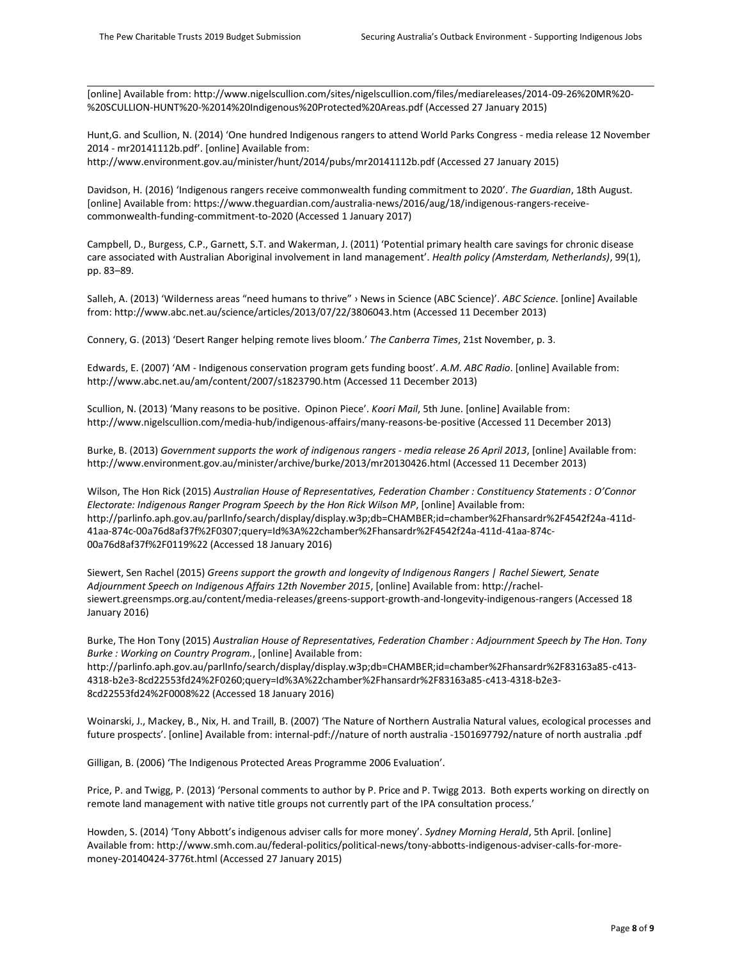[online] Available from: http://www.nigelscullion.com/sites/nigelscullion.com/files/mediareleases/2014-09-26%20MR%20- %20SCULLION-HUNT%20-%2014%20Indigenous%20Protected%20Areas.pdf (Accessed 27 January 2015)

Hunt,G. and Scullion, N. (2014) 'One hundred Indigenous rangers to attend World Parks Congress - media release 12 November 2014 - mr20141112b.pdf'. [online] Available from:

http://www.environment.gov.au/minister/hunt/2014/pubs/mr20141112b.pdf (Accessed 27 January 2015)

Davidson, H. (2016) 'Indigenous rangers receive commonwealth funding commitment to 2020'. *The Guardian*, 18th August. [online] Available from: https://www.theguardian.com/australia-news/2016/aug/18/indigenous-rangers-receivecommonwealth-funding-commitment-to-2020 (Accessed 1 January 2017)

Campbell, D., Burgess, C.P., Garnett, S.T. and Wakerman, J. (2011) 'Potential primary health care savings for chronic disease care associated with Australian Aboriginal involvement in land management'. *Health policy (Amsterdam, Netherlands)*, 99(1), pp. 83–89.

Salleh, A. (2013) 'Wilderness areas "need humans to thrive" › News in Science (ABC Science)'. *ABC Science*. [online] Available from: http://www.abc.net.au/science/articles/2013/07/22/3806043.htm (Accessed 11 December 2013)

Connery, G. (2013) 'Desert Ranger helping remote lives bloom.' *The Canberra Times*, 21st November, p. 3.

Edwards, E. (2007) 'AM - Indigenous conservation program gets funding boost'. *A.M. ABC Radio*. [online] Available from: http://www.abc.net.au/am/content/2007/s1823790.htm (Accessed 11 December 2013)

Scullion, N. (2013) 'Many reasons to be positive. Opinon Piece'. *Koori Mail*, 5th June. [online] Available from: http://www.nigelscullion.com/media-hub/indigenous-affairs/many-reasons-be-positive (Accessed 11 December 2013)

Burke, B. (2013) *Government supports the work of indigenous rangers - media release 26 April 2013*, [online] Available from: http://www.environment.gov.au/minister/archive/burke/2013/mr20130426.html (Accessed 11 December 2013)

Wilson, The Hon Rick (2015) *Australian House of Representatives, Federation Chamber : Constituency Statements : O'Connor Electorate: Indigenous Ranger Program Speech by the Hon Rick Wilson MP*, [online] Available from: http://parlinfo.aph.gov.au/parlInfo/search/display/display.w3p;db=CHAMBER;id=chamber%2Fhansardr%2F4542f24a-411d-41aa-874c-00a76d8af37f%2F0307;query=Id%3A%22chamber%2Fhansardr%2F4542f24a-411d-41aa-874c-00a76d8af37f%2F0119%22 (Accessed 18 January 2016)

Siewert, Sen Rachel (2015) *Greens support the growth and longevity of Indigenous Rangers | Rachel Siewert, Senate Adjournment Speech on Indigenous Affairs 12th November 2015*, [online] Available from: http://rachelsiewert.greensmps.org.au/content/media-releases/greens-support-growth-and-longevity-indigenous-rangers (Accessed 18 January 2016)

Burke, The Hon Tony (2015) *Australian House of Representatives, Federation Chamber : Adjournment Speech by The Hon. Tony Burke : Working on Country Program.*, [online] Available from:

http://parlinfo.aph.gov.au/parlInfo/search/display/display.w3p;db=CHAMBER;id=chamber%2Fhansardr%2F83163a85-c413- 4318-b2e3-8cd22553fd24%2F0260;query=Id%3A%22chamber%2Fhansardr%2F83163a85-c413-4318-b2e3- 8cd22553fd24%2F0008%22 (Accessed 18 January 2016)

Woinarski, J., Mackey, B., Nix, H. and Traill, B. (2007) 'The Nature of Northern Australia Natural values, ecological processes and future prospects'. [online] Available from: internal-pdf://nature of north australia -1501697792/nature of north australia .pdf

Gilligan, B. (2006) 'The Indigenous Protected Areas Programme 2006 Evaluation'.

Price, P. and Twigg, P. (2013) 'Personal comments to author by P. Price and P. Twigg 2013. Both experts working on directly on remote land management with native title groups not currently part of the IPA consultation process.'

Howden, S. (2014) 'Tony Abbott's indigenous adviser calls for more money'. *Sydney Morning Herald*, 5th April. [online] Available from: http://www.smh.com.au/federal-politics/political-news/tony-abbotts-indigenous-adviser-calls-for-moremoney-20140424-3776t.html (Accessed 27 January 2015)